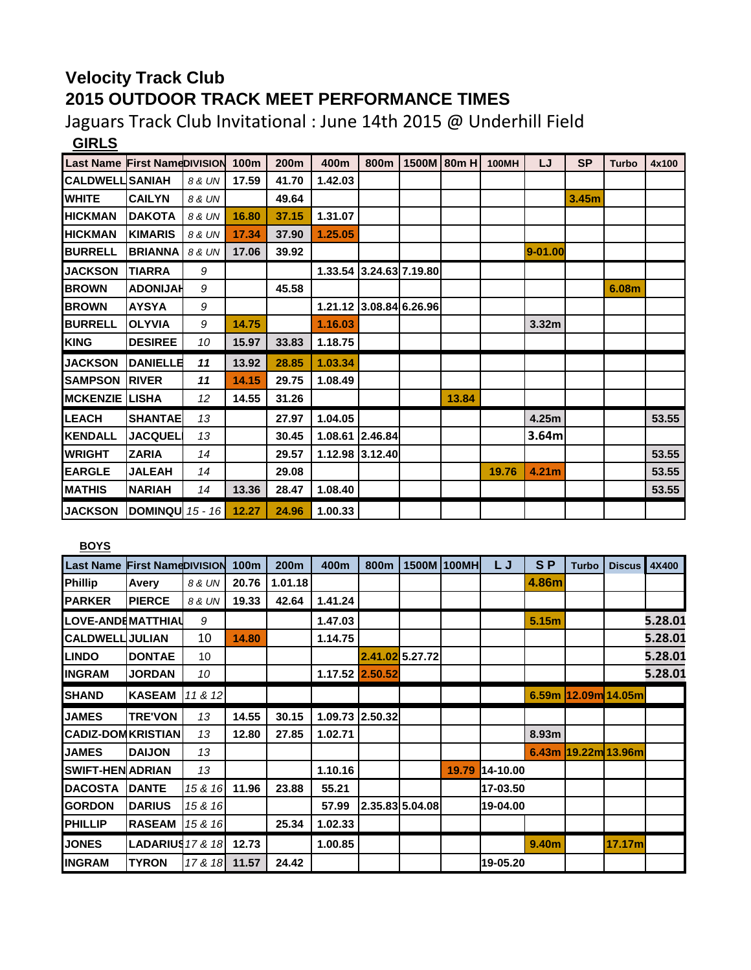## **Velocity Track Club 2015 OUTDOOR TRACK MEET PERFORMANCE TIMES**

Jaguars Track Club Invitational : June 14th 2015 @ Underhill Field **GIRLS**

| <b>Last Name First NameDIVISION</b> |                 |                  | 100m  | 200m  | 400m                    | 800m    | 1500M 80m H | <b>100MH</b> | LJ                | <b>SP</b> | <b>Turbo</b> | 4x100 |
|-------------------------------------|-----------------|------------------|-------|-------|-------------------------|---------|-------------|--------------|-------------------|-----------|--------------|-------|
| <b>CALDWELL SANIAH</b>              |                 | 8 & UN           | 17.59 | 41.70 | 1.42.03                 |         |             |              |                   |           |              |       |
| <b>WHITE</b>                        | <b>CAILYN</b>   | 8 & UN           |       | 49.64 |                         |         |             |              |                   | 3.45m     |              |       |
| <b>HICKMAN</b>                      | <b>DAKOTA</b>   | 8 & UN           | 16.80 | 37.15 | 1.31.07                 |         |             |              |                   |           |              |       |
| <b>HICKMAN</b>                      | <b>KIMARIS</b>  | 8 & UN           | 17.34 | 37.90 | 1.25.05                 |         |             |              |                   |           |              |       |
| <b>BURRELL</b>                      | <b>BRIANNA</b>  | 8 & UN           | 17.06 | 39.92 |                         |         |             |              | 9-01.00           |           |              |       |
| <b>JACKSON</b>                      | <b>TIARRA</b>   | 9                |       |       | 1.33.54 3.24.63 7.19.80 |         |             |              |                   |           |              |       |
| <b>BROWN</b>                        | <b>ADONIJAH</b> | 9                |       | 45.58 |                         |         |             |              |                   |           | 6.08m        |       |
| <b>BROWN</b>                        | <b>AYSYA</b>    | 9                |       |       | 1.21.12 3.08.84 6.26.96 |         |             |              |                   |           |              |       |
| <b>BURRELL</b>                      | <b>OLYVIA</b>   | 9                | 14.75 |       | 1.16.03                 |         |             |              | 3.32 <sub>m</sub> |           |              |       |
| <b>KING</b>                         | <b>DESIREE</b>  | 10               | 15.97 | 33.83 | 1.18.75                 |         |             |              |                   |           |              |       |
| <b>JACKSON</b>                      | <b>DANIELLE</b> | 11               | 13.92 | 28.85 | 1.03.34                 |         |             |              |                   |           |              |       |
| <b>SAMPSON</b>                      | <b>IRIVER</b>   | 11               | 14.15 | 29.75 | 1.08.49                 |         |             |              |                   |           |              |       |
| <b>MCKENZIE LISHA</b>               |                 | 12               | 14.55 | 31.26 |                         |         | 13.84       |              |                   |           |              |       |
| <b>LEACH</b>                        | <b>SHANTAE</b>  | 13               |       | 27.97 | 1.04.05                 |         |             |              | 4.25m             |           |              | 53.55 |
| <b>KENDALL</b>                      | <b>JACQUEL</b>  | 13               |       | 30.45 | 1.08.61                 | 2.46.84 |             |              | 3.64m             |           |              |       |
| <b>WRIGHT</b>                       | <b>ZARIA</b>    | 14               |       | 29.57 | 1.12.98 3.12.40         |         |             |              |                   |           |              | 53.55 |
| <b>EARGLE</b>                       | <b>JALEAH</b>   | 14               |       | 29.08 |                         |         |             | 19.76        | 4.21 <sub>m</sub> |           |              | 53.55 |
| <b>MATHIS</b>                       | <b>NARIAH</b>   | 14               | 13.36 | 28.47 | 1.08.40                 |         |             |              |                   |           |              | 53.55 |
| <b>JACKSON</b>                      | <b>DOMINQU</b>  | 15 - 16 <b>I</b> | 12.27 | 24.96 | 1.00.33                 |         |             |              |                   |           |              |       |

| <b>Last Name First NameDIVISION</b> |                         |         | 100m  | 200m    | 400m            | 800m    |                 | 1500M 100MH | LJ       | S <sub>P</sub> | <b>Turbo</b> | <b>Discus</b>           | 4X400   |
|-------------------------------------|-------------------------|---------|-------|---------|-----------------|---------|-----------------|-------------|----------|----------------|--------------|-------------------------|---------|
| <b>Phillip</b>                      | Avery                   | 8 & UN  | 20.76 | 1.01.18 |                 |         |                 |             |          | 4.86m          |              |                         |         |
| <b>PARKER</b>                       | <b>PIERCE</b>           | 8 & UN  | 19.33 | 42.64   | 1.41.24         |         |                 |             |          |                |              |                         |         |
| LOVE-ANDEMATTHIAU                   |                         | 9       |       |         | 1.47.03         |         |                 |             |          | 5.15m          |              |                         | 5.28.01 |
| <b>CALDWELLIJULIAN</b>              |                         | 10      | 14.80 |         | 1.14.75         |         |                 |             |          |                |              |                         | 5.28.01 |
| <b>LINDO</b>                        | <b>DONTAE</b>           | 10      |       |         |                 |         | 2.41.02 5.27.72 |             |          |                |              |                         | 5.28.01 |
| <b>INGRAM</b>                       | <b>JORDAN</b>           | 10      |       |         | 1.17.52 2.50.52 |         |                 |             |          |                |              |                         | 5.28.01 |
| <b>SHAND</b>                        | <b>KASEAM</b>           | 11 & 12 |       |         |                 |         |                 |             |          | 6.59m          |              | 12.09m 14.05m           |         |
| <b>JAMES</b>                        | <b>TRE'VON</b>          | 13      | 14.55 | 30.15   | 1.09.73         | 2.50.32 |                 |             |          |                |              |                         |         |
| <b>CADIZ-DOM KRISTIANI</b>          |                         | 13      | 12.80 | 27.85   | 1.02.71         |         |                 |             |          | 8.93m          |              |                         |         |
| <b>JAMES</b>                        | <b>DAIJON</b>           | 13      |       |         |                 |         |                 |             |          |                |              | $6.43m$  19.22m  13.96m |         |
| <b>SWIFT-HEN ADRIAN</b>             |                         | 13      |       |         | 1.10.16         |         |                 | 19.79       | 14-10.00 |                |              |                         |         |
| <b>DACOSTA</b>                      | <b>IDANTE</b>           | 15 & 16 | 11.96 | 23.88   | 55.21           |         |                 |             | 17-03.50 |                |              |                         |         |
| <b>GORDON</b>                       | <b>DARIUS</b>           | 15 & 16 |       |         | 57.99           |         | 2.35.83 5.04.08 |             | 19-04.00 |                |              |                         |         |
| <b>PHILLIP</b>                      | <b>RASEAM</b>           | 15 & 16 |       | 25.34   | 1.02.33         |         |                 |             |          |                |              |                         |         |
| <b>JONES</b>                        | <b>LADARIUS</b> 17 & 18 |         | 12.73 |         | 1.00.85         |         |                 |             |          | 9.40m          |              | 17.17m                  |         |
| <b>INGRAM</b>                       | <b>TYRON</b>            | 17 & 18 | 11.57 | 24.42   |                 |         |                 |             | 19-05.20 |                |              |                         |         |